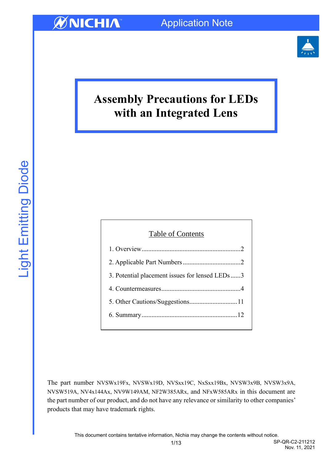

### **Assembly Precautions for LEDs with an Integrated Lens**

| <b>Table of Contents</b>                       |  |  |  |  |  |
|------------------------------------------------|--|--|--|--|--|
|                                                |  |  |  |  |  |
|                                                |  |  |  |  |  |
| 3. Potential placement issues for lensed LEDs3 |  |  |  |  |  |
|                                                |  |  |  |  |  |
|                                                |  |  |  |  |  |
|                                                |  |  |  |  |  |

The part number NVSWx19Fx, NVSWx19D, NVSxx19C, NxSxx19Bx, NVSW3x9B, NVSW3x9A, NVSW519A, NV4x144Ax, NV9W149AM, NF2W385ARx, and NFxW585ARx in this document are the part number of our product, and do not have any relevance or similarity to other companies' products that may have trademark rights.

1/13 SP-QR-C2-211212 Nov. 11, 2021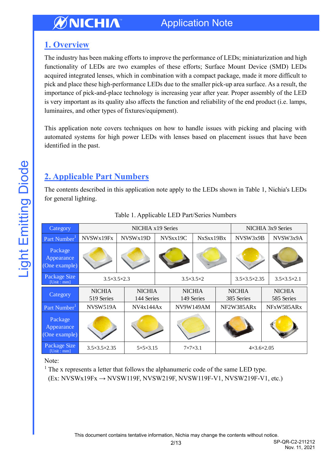### <span id="page-1-0"></span>**1. Overview**

The industry has been making efforts to improve the performance of LEDs; miniaturization and high functionality of LEDs are two examples of these efforts; Surface Mount Device (SMD) LEDs acquired integrated lenses, which in combination with a compact package, made it more difficult to pick and place these high-performance LEDs due to the smaller pick-up area surface. As a result, the importance of pick-and-place technology is increasing year after year. Proper assembly of the LED is very important as its quality also affects the function and reliability of the end product (i.e. lamps, luminaires, and other types of fixtures/equipment).

This application note covers techniques on how to handle issues with picking and placing with automated systems for high power LEDs with lenses based on placement issues that have been identified in the past.

### <span id="page-1-1"></span>**2. Applicable Part Numbers**

The contents described in this application note apply to the LEDs shown in Table 1, Nichia's LEDs for general lighting.

| Category                               | NICHIA x19 Series            |                       |                             |                     |                             |                        | NICHIA 3x9 Series            |            |                             |  |
|----------------------------------------|------------------------------|-----------------------|-----------------------------|---------------------|-----------------------------|------------------------|------------------------------|------------|-----------------------------|--|
| Part Number <sup>1</sup>               | NVSWx19Fx                    | NVSW <sub>x19</sub> D | NVSxx19C                    |                     | NxSxx19Bx                   |                        | NVSW3x9B                     |            | NVSW3x9A                    |  |
| Package<br>Appearance<br>(One example) |                              |                       |                             |                     |                             |                        |                              |            |                             |  |
| Package Size<br>[Unit : mm]            | $3.5 \times 3.5 \times 2.3$  |                       | $3.5 \times 3.5 \times 2$   |                     |                             |                        | $3.5 \times 3.5 \times 2.35$ |            | $3.5 \times 3.5 \times 2.1$ |  |
| Category                               | <b>NICHIA</b><br>519 Series  |                       | <b>NICHIA</b><br>144 Series |                     | <b>NICHIA</b><br>149 Series |                        | <b>NICHIA</b><br>385 Series  |            | <b>NICHIA</b><br>585 Series |  |
| Part Number <sup>1</sup>               | NVSW519A                     | NV4x144Ax             |                             | <b>NV9W149AM</b>    |                             | NF2W385ARx             |                              | NFxW585ARx |                             |  |
| Package<br>Appearance<br>(One example) |                              |                       |                             |                     |                             |                        |                              |            |                             |  |
| Package Size<br>[Unit : mm]            | $3.5 \times 3.5 \times 2.35$ | $5\times5\times3.15$  |                             | $7\times7\times3.1$ |                             | $4\times3.6\times2.05$ |                              |            |                             |  |

#### Note:

 $<sup>1</sup>$  The x represents a letter that follows the alphanumeric code of the same LED type.</sup>

 $(Ex: NVSWx19Fx \rightarrow NVSW119F, NVSW219F, NVSW119F-V1, NVSW219F-V1, etc.)$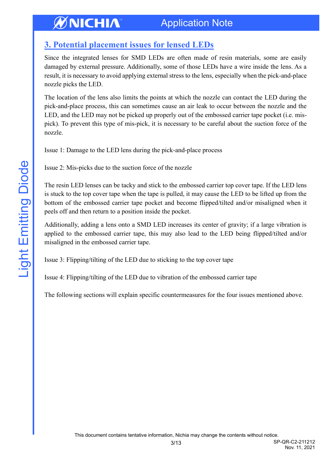### <span id="page-2-0"></span>**3. Potential placement issues for lensed LEDs**

Since the integrated lenses for SMD LEDs are often made of resin materials, some are easily damaged by external pressure. Additionally, some of those LEDs have a wire inside the lens. As a result, it is necessary to avoid applying external stress to the lens, especially when the pick-and-place nozzle picks the LED.

The location of the lens also limits the points at which the nozzle can contact the LED during the pick-and-place process, this can sometimes cause an air leak to occur between the nozzle and the LED, and the LED may not be picked up properly out of the embossed carrier tape pocket (i.e. mispick). To prevent this type of mis-pick, it is necessary to be careful about the suction force of the nozzle.

Issue 1: Damage to the LED lens during the pick-and-place process

Issue 2: Mis-picks due to the suction force of the nozzle

The resin LED lenses can be tacky and stick to the embossed carrier top cover tape. If the LED lens is stuck to the top cover tape when the tape is pulled, it may cause the LED to be lifted up from the bottom of the embossed carrier tape pocket and become flipped/tilted and/or misaligned when it peels off and then return to a position inside the pocket.

Additionally, adding a lens onto a SMD LED increases its center of gravity; if a large vibration is applied to the embossed carrier tape, this may also lead to the LED being flipped/tilted and/or misaligned in the embossed carrier tape.

Issue 3: Flipping/tilting of the LED due to sticking to the top cover tape

Issue 4: Flipping/tilting of the LED due to vibration of the embossed carrier tape

The following sections will explain specific countermeasures for the four issues mentioned above.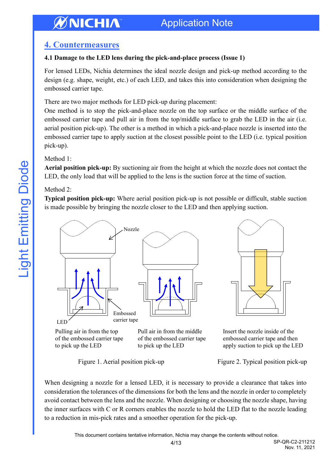### <span id="page-3-0"></span>**4. Countermeasures**

#### **4.1 Damage to the LED lens during the pick-and-place process (Issue 1)**

For lensed LEDs, Nichia determines the ideal nozzle design and pick-up method according to the design (e.g. shape, weight, etc.) of each LED, and takes this into consideration when designing the embossed carrier tape.

There are two major methods for LED pick-up during placement:

One method is to stop the pick-and-place nozzle on the top surface or the middle surface of the embossed carrier tape and pull air in from the top/middle surface to grab the LED in the air (i.e. aerial position pick-up). The other is a method in which a pick-and-place nozzle is inserted into the embossed carrier tape to apply suction at the closest possible point to the LED (i.e. typical position pick-up).

#### Method 1:

**Aerial position pick-up:** By suctioning air from the height at which the nozzle does not contact the LED, the only load that will be applied to the lens is the suction force at the time of suction.

#### Method 2:

**Typical position pick-up:** Where aerial position pick-up is not possible or difficult, stable suction is made possible by bringing the nozzle closer to the LED and then applying suction.



Pulling air in from the top of the embossed carrier tape to pick up the LED

Pull air in from the middle of the embossed carrier tape to pick up the LED

Insert the nozzle inside of the embossed carrier tape and then apply suction to pick up the LED

Figure 1. Aerial position pick-up Figure 2. Typical position pick-up

When designing a nozzle for a lensed LED, it is necessary to provide a clearance that takes into consideration the tolerances of the dimensions for both the lens and the nozzle in order to completely avoid contact between the lens and the nozzle. When designing or choosing the nozzle shape, having the inner surfaces with C or R corners enables the nozzle to hold the LED flat to the nozzle leading to a reduction in mis-pick rates and a smoother operation for the pick-up.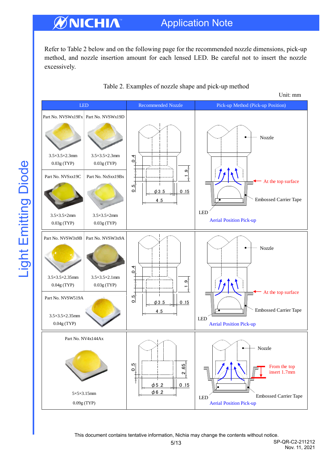### Application Note

Refer to Table 2 below and on the following page for the recommended nozzle dimensions, pick-up method, and nozzle insertion amount for each lensed LED. Be careful not to insert the nozzle excessively.





Unit: mm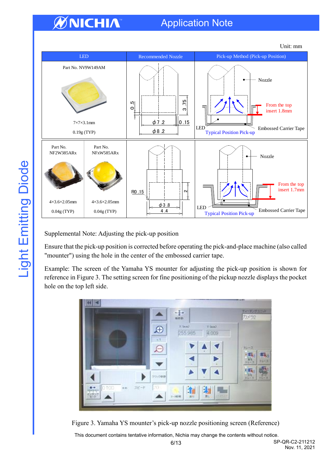### Application Note





Supplemental Note: Adjusting the pick-up position

Ensure that the pick-up position is corrected before operating the pick-and-place machine (also called "mounter") using the hole in the center of the embossed carrier tape.

Example: The screen of the Yamaha YS mounter for adjusting the pick-up position is shown for reference in Figure 3. The setting screen for fine positioning of the pickup nozzle displays the pocket hole on the top left side.



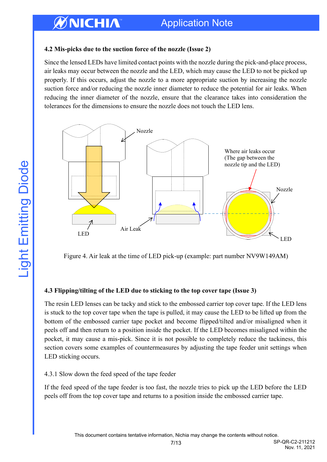### Application Note

#### **4.2 Mis-picks due to the suction force of the nozzle (Issue 2)**

Since the lensed LEDs have limited contact points with the nozzle during the pick-and-place process, air leaks may occur between the nozzle and the LED, which may cause the LED to not be picked up properly. If this occurs, adjust the nozzle to a more appropriate suction by increasing the nozzle suction force and/or reducing the nozzle inner diameter to reduce the potential for air leaks. When reducing the inner diameter of the nozzle, ensure that the clearance takes into consideration the tolerances for the dimensions to ensure the nozzle does not touch the LED lens.



Figure 4. Air leak at the time of LED pick-up (example: part number NV9W149AM)

#### **4.3 Flipping/tilting of the LED due to sticking to the top cover tape (Issue 3)**

The resin LED lenses can be tacky and stick to the embossed carrier top cover tape. If the LED lens is stuck to the top cover tape when the tape is pulled, it may cause the LED to be lifted up from the bottom of the embossed carrier tape pocket and become flipped/tilted and/or misaligned when it peels off and then return to a position inside the pocket. If the LED becomes misaligned within the pocket, it may cause a mis-pick. Since it is not possible to completely reduce the tackiness, this section covers some examples of countermeasures by adjusting the tape feeder unit settings when LED sticking occurs.

4.3.1 Slow down the feed speed of the tape feeder

If the feed speed of the tape feeder is too fast, the nozzle tries to pick up the LED before the LED peels off from the top cover tape and returns to a position inside the embossed carrier tape.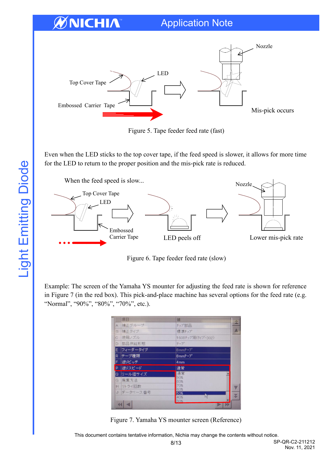

Figure 5. Tape feeder feed rate (fast)

Even when the LED sticks to the top cover tape, if the feed speed is slower, it allows for more time for the LED to return to the proper position and the mis-pick rate is reduced.



Figure 6. Tape feeder feed rate (slow)

Example: The screen of the Yamaha YS mounter for adjusting the feed rate is shown for reference in Figure 7 (in the red box). This pick-and-place machine has several options for the feed rate (e.g. "Normal", "90%", "80%", "70%", etc.).

|    | 項目         | 值                           |
|----|------------|-----------------------------|
| A  | 補正グループ     | $\frac{1}{\Delta}$<br>チップ部品 |
| B  | 補正タイプ      | 標準チップ                       |
| C. | 使用ノズル      | 1608チップ用(タイプー302)           |
| D  | 部品供給形態     | テープ                         |
| E  | フィーダータイプ   | $8mm\bar{\tau}-7$           |
| R  | テーブ種類      | $8mm\bar{\tau}-7$           |
| E. | 送りビッチ      | 4 <sub>mm</sub>             |
|    | P 送りスピード   | 通常                          |
|    | Q リール径サイズ  | 通常                          |
| G  | 廃棄方法       | 90%<br>80%                  |
| H  | リトライ回数     | 70%                         |
|    | J データベース番号 | 60%<br><b>50%</b>           |
|    |            | ¥<br>W<br>40%               |
|    |            | 30%                         |

Figure 7. Yamaha YS mounter screen (Reference)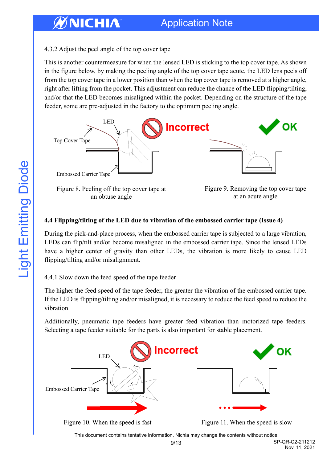### Application Note

4.3.2 Adjust the peel angle of the top cover tape

This is another countermeasure for when the lensed LED is sticking to the top cover tape. As shown in the figure below, by making the peeling angle of the top cover tape acute, the LED lens peels off from the top cover tape in a lower position than when the top cover tape is removed at a higher angle, right after lifting from the pocket. This adjustment can reduce the chance of the LED flipping/tilting, and/or that the LED becomes misaligned within the pocket. Depending on the structure of the tape feeder, some are pre-adjusted in the factory to the optimum peeling angle.



Figure 8. Peeling off the top cover tape at an obtuse angle

Figure 9. Removing the top cover tape at an acute angle

#### **4.4 Flipping/tilting of the LED due to vibration of the embossed carrier tape (Issue 4)**

During the pick-and-place process, when the embossed carrier tape is subjected to a large vibration, LEDs can flip/tilt and/or become misaligned in the embossed carrier tape. Since the lensed LEDs have a higher center of gravity than other LEDs, the vibration is more likely to cause LED flipping/tilting and/or misalignment.

4.4.1 Slow down the feed speed of the tape feeder

The higher the feed speed of the tape feeder, the greater the vibration of the embossed carrier tape. If the LED is flipping/tilting and/or misaligned, it is necessary to reduce the feed speed to reduce the vibration.

Additionally, pneumatic tape feeders have greater feed vibration than motorized tape feeders. Selecting a tape feeder suitable for the parts is also important for stable placement.



Figure 10. When the speed is fast Figure 11. When the speed is slow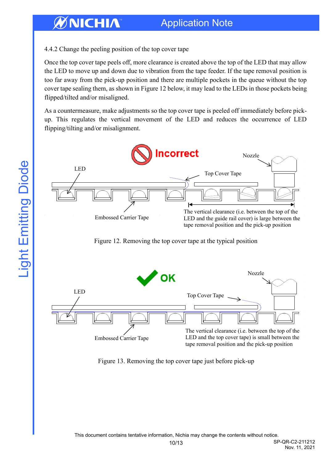### Application Note

#### 4.4.2 Change the peeling position of the top cover tape

Once the top cover tape peels off, more clearance is created above the top of the LED that may allow the LED to move up and down due to vibration from the tape feeder. If the tape removal position is too far away from the pick-up position and there are multiple pockets in the queue without the top cover tape sealing them, as shown in Figure 12 below, it may lead to the LEDs in those pockets being flipped/tilted and/or misaligned.

As a countermeasure, make adjustments so the top cover tape is peeled off immediately before pickup. This regulates the vertical movement of the LED and reduces the occurrence of LED flipping/tilting and/or misalignment.



Figure 12. Removing the top cover tape at the typical position



Figure 13. Removing the top cover tape just before pick-up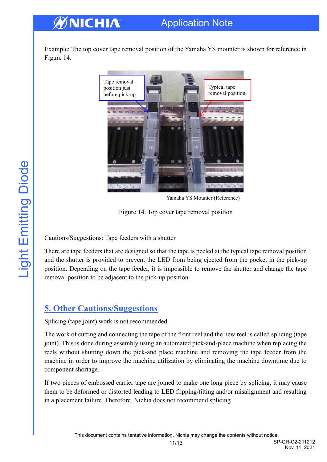Example: The top cover tape removal position of the Yamaha YS mounter is shown for reference in Figure 14.



Yamaha YS Mounter (Reference)

Figure 14. Top cover tape removal position

Cautions/Suggestions: Tape feeders with a shutter

There are tape feeders that are designed so that the tape is peeled at the typical tape removal position and the shutter is provided to prevent the LED from being ejected from the pocket in the pick-up position. Depending on the tape feeder, it is impossible to remove the shutter and change the tape removal position to be adjacent to the pick-up position.

### <span id="page-10-0"></span>**5. Other Cautions/Suggestions**

Splicing (tape joint) work is not recommended.

The work of cutting and connecting the tape of the front reel and the new reel is called splicing (tape joint). This is done during assembly using an automated pick-and-place machine when replacing the reels without shutting down the pick-and place machine and removing the tape feeder from the machine in order to improve the machine utilization by eliminating the machine downtime due to component shortage.

If two pieces of embossed carrier tape are joined to make one long piece by splicing, it may cause them to be deformed or distorted leading to LED flipping/tilting and/or misalignment and resulting in a placement failure. Therefore, Nichia does not recommend splicing.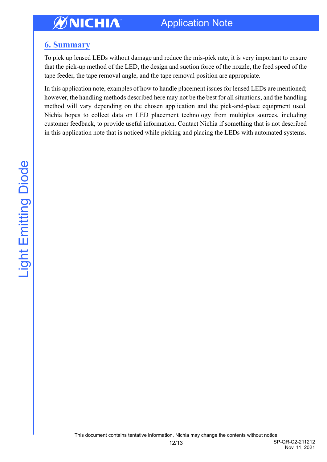### <span id="page-11-0"></span>**6. Summary**

To pick up lensed LEDs without damage and reduce the mis-pick rate, it is very important to ensure that the pick-up method of the LED, the design and suction force of the nozzle, the feed speed of the tape feeder, the tape removal angle, and the tape removal position are appropriate.

In this application note, examples of how to handle placement issues for lensed LEDs are mentioned; however, the handling methods described here may not be the best for all situations, and the handling method will vary depending on the chosen application and the pick-and-place equipment used. Nichia hopes to collect data on LED placement technology from multiples sources, including customer feedback, to provide useful information. Contact Nichia if something that is not described in this application note that is noticed while picking and placing the LEDs with automated systems.